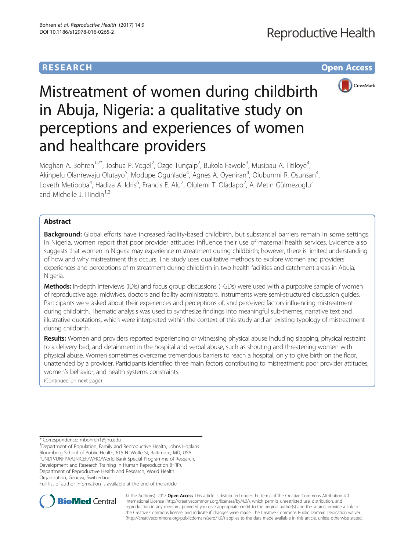# **RESEARCH RESEARCH** *CHECK <b>CHECK*



# Mistreatment of women during childbirth in Abuja, Nigeria: a qualitative study on perceptions and experiences of women and healthcare providers

Meghan A. Bohren<sup>1,2\*</sup>, Joshua P. Vogel<sup>2</sup>, Özge Tunçalp<sup>2</sup>, Bukola Fawole<sup>3</sup>, Musibau A. Titiloye<sup>4</sup> , Akinpelu Olanrewaju Olutayo<sup>5</sup>, Modupe Ogunlade<sup>4</sup>, Agnes A. Oyeniran<sup>4</sup>, Olubunmi R. Osunsan<sup>4</sup> , Loveth Metiboba<sup>4</sup>, Hadiza A. Idris<sup>6</sup>, Francis E. Alu<sup>7</sup>, Olufemi T. Oladapo<sup>2</sup>, A. Metin Gülmezoglu<sup>2</sup> and Michelle J. Hindin $1,2$ 

# Abstract

Background: Global efforts have increased facility-based childbirth, but substantial barriers remain in some settings. In Nigeria, women report that poor provider attitudes influence their use of maternal health services. Evidence also suggests that women in Nigeria may experience mistreatment during childbirth; however, there is limited understanding of how and why mistreatment this occurs. This study uses qualitative methods to explore women and providers' experiences and perceptions of mistreatment during childbirth in two health facilities and catchment areas in Abuja, Nigeria.

Methods: In-depth interviews (IDIs) and focus group discussions (FGDs) were used with a purposive sample of women of reproductive age, midwives, doctors and facility administrators. Instruments were semi-structured discussion guides. Participants were asked about their experiences and perceptions of, and perceived factors influencing mistreatment during childbirth. Thematic analysis was used to synthesize findings into meaningful sub-themes, narrative text and illustrative quotations, which were interpreted within the context of this study and an existing typology of mistreatment during childbirth.

Results: Women and providers reported experiencing or witnessing physical abuse including slapping, physical restraint to a delivery bed, and detainment in the hospital and verbal abuse, such as shouting and threatening women with physical abuse. Women sometimes overcame tremendous barriers to reach a hospital, only to give birth on the floor, unattended by a provider. Participants identified three main factors contributing to mistreatment: poor provider attitudes, women's behavior, and health systems constraints.

(Continued on next page)

<sup>1</sup>Department of Population, Family and Reproductive Health, Johns Hopkins Bloomberg School of Public Health, 615 N. Wolfe St, Baltimore, MD, USA 2 UNDP/UNFPA/UNICEF/WHO/World Bank Special Programme of Research, Development and Research Training in Human Reproduction (HRP), Department of Reproductive Health and Research, World Health

Organization, Geneva, Switzerland

Full list of author information is available at the end of the article



© The Author(s). 2017 **Open Access** This article is distributed under the terms of the Creative Commons Attribution 4.0 International License [\(http://creativecommons.org/licenses/by/4.0/](http://creativecommons.org/licenses/by/4.0/)), which permits unrestricted use, distribution, and reproduction in any medium, provided you give appropriate credit to the original author(s) and the source, provide a link to the Creative Commons license, and indicate if changes were made. The Creative Commons Public Domain Dedication waiver [\(http://creativecommons.org/publicdomain/zero/1.0/](http://creativecommons.org/publicdomain/zero/1.0/)) applies to the data made available in this article, unless otherwise stated.

<sup>\*</sup> Correspondence: [mbohren1@jhu.edu](mailto:mbohren1@jhu.edu) <sup>1</sup>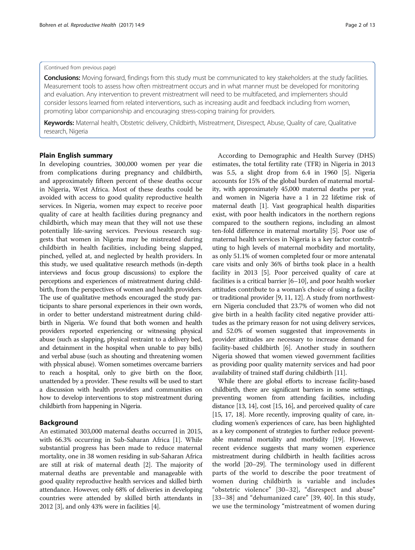# (Continued from previous page)

**Conclusions:** Moving forward, findings from this study must be communicated to key stakeholders at the study facilities. Measurement tools to assess how often mistreatment occurs and in what manner must be developed for monitoring and evaluation. Any intervention to prevent mistreatment will need to be multifaceted, and implementers should consider lessons learned from related interventions, such as increasing audit and feedback including from women, promoting labor companionship and encouraging stress-coping training for providers.

Keywords: Maternal health, Obstetric delivery, Childbirth, Mistreatment, Disrespect, Abuse, Quality of care, Qualitative research, Nigeria

# Plain English summary

In developing countries, 300,000 women per year die from complications during pregnancy and childbirth, and approximately fifteen percent of these deaths occur in Nigeria, West Africa. Most of these deaths could be avoided with access to good quality reproductive health services. In Nigeria, women may expect to receive poor quality of care at health facilities during pregnancy and childbirth, which may mean that they will not use these potentially life-saving services. Previous research suggests that women in Nigeria may be mistreated during childbirth in health facilities, including being slapped, pinched, yelled at, and neglected by health providers. In this study, we used qualitative research methods (in-depth interviews and focus group discussions) to explore the perceptions and experiences of mistreatment during childbirth, from the perspectives of women and health providers. The use of qualitative methods encouraged the study participants to share personal experiences in their own words, in order to better understand mistreatment during childbirth in Nigeria. We found that both women and health providers reported experiencing or witnessing physical abuse (such as slapping, physical restraint to a delivery bed, and detainment in the hospital when unable to pay bills) and verbal abuse (such as shouting and threatening women with physical abuse). Women sometimes overcame barriers to reach a hospital, only to give birth on the floor, unattended by a provider. These results will be used to start a discussion with health providers and communities on how to develop interventions to stop mistreatment during childbirth from happening in Nigeria.

# Background

An estimated 303,000 maternal deaths occurred in 2015, with 66.3% occurring in Sub-Saharan Africa [\[1](#page-11-0)]. While substantial progress has been made to reduce maternal mortality, one in 38 women residing in sub-Saharan Africa are still at risk of maternal death [[2](#page-11-0)]. The majority of maternal deaths are preventable and manageable with good quality reproductive health services and skilled birth attendance. However, only 68% of deliveries in developing countries were attended by skilled birth attendants in 2012 [[3](#page-11-0)], and only 43% were in facilities [\[4](#page-11-0)].

According to Demographic and Health Survey (DHS) estimates, the total fertility rate (TFR) in Nigeria in 2013 was 5.5, a slight drop from 6.4 in 1960 [\[5](#page-11-0)]. Nigeria accounts for 15% of the global burden of maternal mortality, with approximately 45,000 maternal deaths per year, and women in Nigeria have a 1 in 22 lifetime risk of maternal death [[1](#page-11-0)]. Vast geographical health disparities exist, with poor health indicators in the northern regions compared to the southern regions, including an almost ten-fold difference in maternal mortality [\[5\]](#page-11-0). Poor use of maternal health services in Nigeria is a key factor contributing to high levels of maternal morbidity and mortality, as only 51.1% of women completed four or more antenatal care visits and only 36% of births took place in a health facility in 2013 [\[5](#page-11-0)]. Poor perceived quality of care at facilities is a critical barrier [[6](#page-11-0)–[10](#page-11-0)], and poor health worker attitudes contribute to a woman's choice of using a facility or traditional provider [[9, 11, 12](#page-11-0)]. A study from northwestern Nigeria concluded that 23.7% of women who did not give birth in a health facility cited negative provider attitudes as the primary reason for not using delivery services, and 52.0% of women suggested that improvements in provider attitudes are necessary to increase demand for facility-based childbirth [\[6](#page-11-0)]. Another study in southern Nigeria showed that women viewed government facilities as providing poor quality maternity services and had poor availability of trained staff during childbirth [\[11\]](#page-11-0).

While there are global efforts to increase facility-based childbirth, there are significant barriers in some settings, preventing women from attending facilities, including distance [\[13, 14\]](#page-11-0), cost [[15](#page-11-0), [16](#page-11-0)], and perceived quality of care [[15](#page-11-0), [17, 18\]](#page-11-0). More recently, improving quality of care, including women's experiences of care, has been highlighted as a key component of strategies to further reduce preventable maternal mortality and morbidity [[19](#page-11-0)]. However, recent evidence suggests that many women experience mistreatment during childbirth in health facilities across the world [[20](#page-11-0)–[29](#page-11-0)]. The terminology used in different parts of the world to describe the poor treatment of women during childbirth is variable and includes "obstetric violence" [\[30](#page-11-0)–[32](#page-11-0)], "disrespect and abuse" [[33](#page-11-0)–[38\]](#page-11-0) and "dehumanized care" [\[39](#page-11-0), [40\]](#page-11-0). In this study, we use the terminology "mistreatment of women during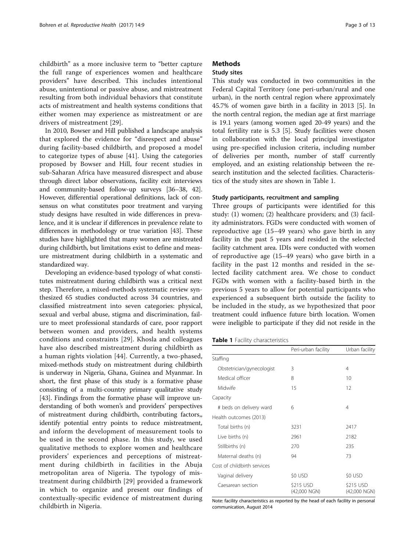childbirth" as a more inclusive term to "better capture the full range of experiences women and healthcare providers" have described. This includes intentional abuse, unintentional or passive abuse, and mistreatment resulting from both individual behaviors that constitute acts of mistreatment and health systems conditions that either women may experience as mistreatment or are drivers of mistreatment [[29\]](#page-11-0).

In 2010, Bowser and Hill published a landscape analysis that explored the evidence for "disrespect and abuse" during facility-based childbirth, and proposed a model to categorize types of abuse [[41](#page-11-0)]. Using the categories proposed by Bowser and Hill, four recent studies in sub-Saharan Africa have measured disrespect and abuse through direct labor observations, facility exit interviews and community-based follow-up surveys [[36](#page-11-0)–[38,](#page-11-0) [42](#page-12-0)]. However, differential operational definitions, lack of consensus on what constitutes poor treatment and varying study designs have resulted in wide differences in prevalence, and it is unclear if differences in prevalence relate to differences in methodology or true variation [[43](#page-12-0)]. These studies have highlighted that many women are mistreated during childbirth, but limitations exist to define and measure mistreatment during childbirth in a systematic and standardized way.

Developing an evidence-based typology of what constitutes mistreatment during childbirth was a critical next step. Therefore, a mixed-methods systematic review synthesized 65 studies conducted across 34 countries, and classified mistreatment into seven categories: physical, sexual and verbal abuse, stigma and discrimination, failure to meet professional standards of care, poor rapport between women and providers, and health systems conditions and constraints [[29](#page-11-0)]. Khosla and colleagues have also described mistreatment during childbirth as a human rights violation [\[44](#page-12-0)]. Currently, a two-phased, mixed-methods study on mistreatment during childbirth is underway in Nigeria, Ghana, Guinea and Myanmar. In short, the first phase of this study is a formative phase consisting of a multi-country primary qualitative study [[43](#page-12-0)]. Findings from the formative phase will improve understanding of both women's and providers' perspectives of mistreatment during childbirth, contributing factors,, identify potential entry points to reduce mistreatment, and inform the development of measurement tools to be used in the second phase. In this study, we used qualitative methods to explore women and healthcare providers' experiences and perceptions of mistreatment during childbirth in facilities in the Abuja metropolitan area of Nigeria. The typology of mistreatment during childbirth [\[29\]](#page-11-0) provided a framework in which to organize and present our findings of contextually-specific evidence of mistreatment during childbirth in Nigeria.

# **Methods**

# Study sites

This study was conducted in two communities in the Federal Capital Territory (one peri-urban/rural and one urban), in the north central region where approximately 45.7% of women gave birth in a facility in 2013 [[5](#page-11-0)]. In the north central region, the median age at first marriage is 19.1 years (among women aged 20-49 years) and the total fertility rate is 5.3 [[5\]](#page-11-0). Study facilities were chosen in collaboration with the local principal investigator using pre-specified inclusion criteria, including number of deliveries per month, number of staff currently employed, and an existing relationship between the research institution and the selected facilities. Characteristics of the study sites are shown in Table 1.

# Study participants, recruitment and sampling

Three groups of participants were identified for this study: (1) women; (2) healthcare providers; and (3) facility administrators. FGDs were conducted with women of reproductive age (15–49 years) who gave birth in any facility in the past 5 years and resided in the selected facility catchment area. IDIs were conducted with women of reproductive age (15–49 years) who gave birth in a facility in the past 12 months and resided in the selected facility catchment area. We chose to conduct FGDs with women with a facility-based birth in the previous 5 years to allow for potential participants who experienced a subsequent birth outside the facility to be included in the study, as we hypothesized that poor treatment could influence future birth location. Women were ineligible to participate if they did not reside in the

| Table 1 Facility characteristics |  |  |
|----------------------------------|--|--|
|----------------------------------|--|--|

|                             | Peri-urban facility       | Urban facility            |
|-----------------------------|---------------------------|---------------------------|
| Staffing                    |                           |                           |
| Obstetrician/gynecologist   | 3                         | 4                         |
| Medical officer             | 8                         | 10                        |
| Midwife                     | 15                        | 12                        |
| Capacity                    |                           |                           |
| # beds on delivery ward     | 6                         | 4                         |
| Health outcomes (2013)      |                           |                           |
| Total births (n)            | 3231                      | 2417                      |
| Live births (n)             | 2961                      | 2182                      |
| Stillbirths (n)             | 270                       | 235                       |
| Maternal deaths (n)         | 94                        | 73                        |
| Cost of childbirth services |                           |                           |
| Vaginal delivery            | \$0 USD                   | \$0 USD                   |
| Caesarean section           | \$215 USD<br>(42,000 NGN) | \$215 USD<br>(42,000 NGN) |

Note: facility characteristics as reported by the head of each facility in personal communication, August 2014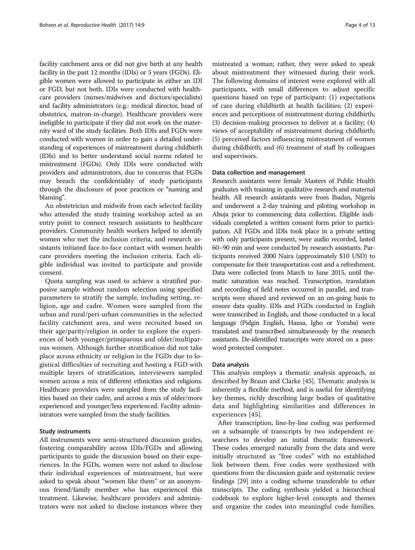facility catchment area or did not give birth at any health facility in the past 12 months (IDIs) or 5 years (FGDs). Eligible women were allowed to participate in either an IDI or FGD, but not both. IDIs were conducted with healthcare providers (nurses/midwives and doctors/specialists) and facility administrators (e.g.: medical director, head of obstetrics, matron-in-charge). Healthcare providers were ineligible to participate if they did not work on the maternity ward of the study facilities. Both IDIs and FGDs were conducted with women in order to gain a detailed understanding of experiences of mistreatment during childbirth (IDIs) and to better understand social norms related to mistreatment (FGDs). Only IDIs were conducted with providers and administrators, due to concerns that FGDs may breach the confidentiality of study participants through the disclosure of poor practices or "naming and blaming".

An obstetrician and midwife from each selected facility who attended the study training workshop acted as an entry point to connect research assistants to healthcare providers. Community health workers helped to identify women who met the inclusion criteria, and research assistants initiated face-to-face contact with women health care providers meeting the inclusion criteria. Each eligible individual was invited to participate and provide consent.

Quota sampling was used to achieve a stratified purposive sample without random selection using specified parameters to stratify the sample, including setting, religion, age and cadre. Women were sampled from the urban and rural/peri-urban communities in the selected facility catchment area, and were recruited based on their age/parity/religion in order to explore the experiences of both younger/primiparous and older/multiparous women. Although further stratification did not take place across ethnicity or religion in the FGDs due to logistical difficulties of recruiting and hosting a FGD with multiple layers of stratification, interviewers sampled women across a mix of different ethnicities and religions. Healthcare providers were sampled from the study facilities based on their cadre, and across a mix of older/more experienced and younger/less experienced. Facility administrators were sampled from the study facilities.

# Study instruments

All instruments were semi-structured discussion guides, fostering comparability across IDIs/FGDs and allowing participants to guide the discussion based on their experiences. In the FGDs, women were not asked to disclose their individual experiences of mistreatment, but were asked to speak about "women like them" or an anonymous friend/family member who has experienced this treatment. Likewise, healthcare providers and administrators were not asked to disclose instances where they

mistreated a woman; rather, they were asked to speak about mistreatment they witnessed during their work. The following domains of interest were explored with all participants, with small differences to adjust specific questions based on type of participant: (1) expectations of care during childbirth at health facilities; (2) experiences and perceptions of mistreatment during childbirth; (3) decision-making processes to deliver at a facility; (4) views of acceptability of mistreatment during childbirth; (5) perceived factors influencing mistreatment of women during childbirth; and (6) treatment of staff by colleagues and supervisors.

# Data collection and management

Research assistants were female Masters of Public Health graduates with training in qualitative research and maternal health. All research assistants were from Ibadan, Nigeria and underwent a 2-day training and piloting workshop in Abuja prior to commencing data collection. Eligible individuals completed a written consent form prior to participation. All FGDs and IDIs took place in a private setting with only participants present, were audio recorded, lasted 60–90 min and were conducted by research assistants. Participants received 2000 Naira (approximately \$10 USD) to compensate for their transportation cost and a refreshment. Data were collected from March to June 2015, until thematic saturation was reached. Transcription, translation and recording of field notes occurred in parallel, and transcripts were shared and reviewed on an on-going basis to ensure data quality. IDIs and FGDs conducted in English were transcribed in English, and those conducted in a local language (Pidgin English, Hausa, Igbo or Yoruba) were translated and transcribed simultaneously by the research assistants. De-identified transcripts were stored on a password protected computer.

# Data analysis

This analysis employs a thematic analysis approach, as described by Braun and Clarke [[45\]](#page-12-0). Thematic analysis is inherently a flexible method, and is useful for identifying key themes, richly describing large bodies of qualitative data and highlighting similarities and differences in experiences [[45\]](#page-12-0).

After transcription, line-by-line coding was performed on a subsample of transcripts by two independent researchers to develop an initial thematic framework. These codes emerged naturally from the data and were initially structured as "free codes" with no established link between them. Free codes were synthesized with questions from the discussion guide and systematic review findings [[29](#page-11-0)] into a coding scheme transferable to other transcripts. The coding synthesis yielded a hierarchical codebook to explore higher-level concepts and themes and organize the codes into meaningful code families.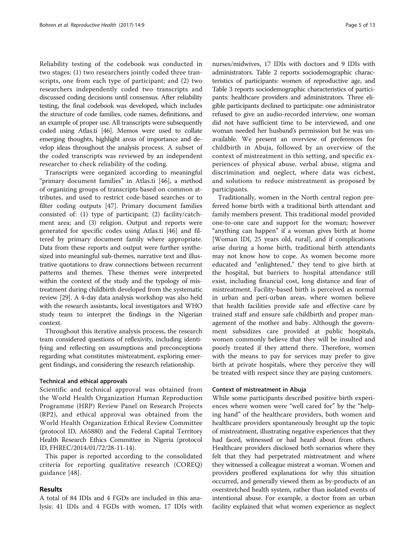Reliability testing of the codebook was conducted in two stages: (1) two researchers jointly coded three transcripts, one from each type of participant; and (2) two researchers independently coded two transcripts and discussed coding decisions until consensus. After reliability testing, the final codebook was developed, which includes the structure of code families, code names, definitions, and an example of proper use. All transcripts were subsequently coded using Atlas.ti [\[46\]](#page-12-0). Memos were used to collate emerging thoughts, highlight areas of importance and develop ideas throughout the analysis process. A subset of the coded transcripts was reviewed by an independent researcher to check reliability of the coding.

Transcripts were organized according to meaningful "primary document families" in Atlas.ti [[46\]](#page-12-0), a method of organizing groups of transcripts based on common attributes, and used to restrict code-based searches or to filter coding outputs [\[47\]](#page-12-0). Primary document families consisted of: (1) type of participant; (2) facility/catchment area; and (3) religion. Output and reports were generated for specific codes using Atlas.ti [[46\]](#page-12-0) and filtered by primary document family where appropriate. Data from these reports and output were further synthesized into meaningful sub-themes, narrative text and illustrative quotations to draw connections between recurrent patterns and themes. These themes were interpreted within the context of the study and the typology of mistreatment during childbirth developed from the systematic review [[29](#page-11-0)]. A 4-day data analysis workshop was also held with the research assistants, local investigators and WHO study team to interpret the findings in the Nigerian context.

Throughout this iterative analysis process, the research team considered questions of reflexivity, including identifying and reflecting on assumptions and preconceptions regarding what constitutes mistreatment, exploring emergent findings, and considering the research relationship.

## Technical and ethical approvals

Scientific and technical approval was obtained from the World Health Organization Human Reproduction Programme (HRP) Review Panel on Research Projects (RP2), and ethical approval was obtained from the World Health Organization Ethical Review Committee (protocol ID, A65880) and the Federal Capital Territory Health Research Ethics Committee in Nigeria (protocol ID, FHREC/2014/01/72/28-11-14).

This paper is reported according to the consolidated criteria for reporting qualitative research (COREQ) guidance [[48](#page-12-0)].

# Results

A total of 84 IDIs and 4 FGDs are included in this analysis: 41 IDIs and 4 FGDs with women, 17 IDIs with

nurses/midwives, 17 IDIs with doctors and 9 IDIs with administrators. Table [2](#page-5-0) reports sociodemographic characteristics of participants: women of reproductive age, and Table [3](#page-5-0) reports sociodemographic characteristics of participants: healthcare providers and administrators. Three eligible participants declined to participate: one administrator refused to give an audio-recorded interview, one woman did not have sufficient time to be interviewed, and one woman needed her husband's permission but he was unavailable. We present an overview of preferences for childbirth in Abuja, followed by an overview of the context of mistreatment in this setting, and specific experiences of physical abuse, verbal abuse, stigma and discrimination and neglect, where data was richest, and solutions to reduce mistreatment as proposed by participants.

Traditionally, women in the North central region preferred home birth with a traditional birth attendant and family members present. This traditional model provided one-to-one care and support for the woman; however "anything can happen" if a woman gives birth at home [Woman IDI, 25 years old, rural], and if complications arise during a home birth, traditional birth attendants may not know how to cope. As women become more educated and "enlightened," they tend to give birth at the hospital, but barriers to hospital attendance still exist, including financial cost, long distance and fear of mistreatment. Facility-based birth is perceived as normal in urban and peri-urban areas, where women believe that health facilities provide safe and effective care by trained staff and ensure safe childbirth and proper management of the mother and baby. Although the government subsidizes care provided at public hospitals, women commonly believe that they will be insulted and poorly treated if they attend there. Therefore, women with the means to pay for services may prefer to give birth at private hospitals, where they perceive they will be treated with respect since they are paying customers.

## Context of mistreatment in Abuja

While some participants described positive birth experiences where women were "well cared for" by the "helping hand" of the healthcare providers, both women and healthcare providers spontaneously brought up the topic of mistreatment, illustrating negative experiences that they had faced, witnessed or had heard about from others. Healthcare providers disclosed both scenarios where they felt that they had perpetrated mistreatment and where they witnessed a colleague mistreat a woman. Women and providers proffered explanations for why this situation occurred, and generally viewed them as by-products of an overstretched health system, rather than isolated events of intentional abuse. For example, a doctor from an urban facility explained that what women experience as neglect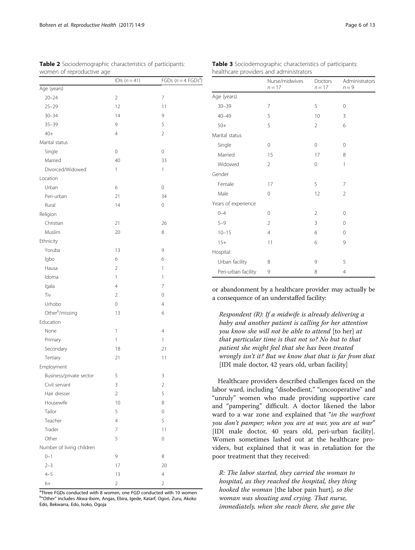|                             | IDIs $(n=41)$  | FGDs ( $n = 4$ FGDs <sup>a</sup> |
|-----------------------------|----------------|----------------------------------|
| Age (years)                 |                |                                  |
| $20 - 24$                   | $\overline{2}$ | $\overline{7}$                   |
| $25 - 29$                   | 12             | 11                               |
| $30 - 34$                   | 14             | 9                                |
| $35 - 39$                   | 9              | 5                                |
| $40+$                       | $\overline{4}$ | $\overline{2}$                   |
| Marital status              |                |                                  |
| Single                      | 0              | $\mathbf 0$                      |
| Married                     | 40             | 33                               |
| Divorced/Widowed            | 1              | 1                                |
| Location                    |                |                                  |
| Urban                       | 6              | 0                                |
| Peri-urban                  | 21             | 34                               |
| Rural                       | 14             | $\mathbf 0$                      |
| Religion                    |                |                                  |
| Christian                   | 21             | 26                               |
| Muslim                      | 20             | 8                                |
| Ethnicity                   |                |                                  |
| Yoruba                      | 13             | 9                                |
| Igbo                        | 6              | 6                                |
| Hausa                       | $\overline{2}$ | 1                                |
| Idoma                       | 1              | 1                                |
| Igala                       | $\overline{4}$ | 7                                |
| Tiv                         | 2              | 0                                |
| Urhobo                      | $\mathbf 0$    | $\overline{4}$                   |
| Other <sup>b</sup> /missing | 13             | 6                                |
| Education                   |                |                                  |
| None                        | 1              | $\overline{4}$                   |
| Primary                     | 1              | 1                                |
| Secondary                   | 18             | 21                               |
| Tertiary                    | 21             | 11                               |
| Employment                  |                |                                  |
| Business/private sector     | 5              | 3                                |
| Civil servant               | 3              | $\overline{2}$                   |
| Hair dresser                | $\sqrt{2}$     | 5                                |
| Housewife                   | 10             | 8                                |
| Tailor                      | 5              | 0                                |
| Teacher                     | $\overline{4}$ | 5                                |
| Trader                      | 7              | 11                               |
| Other                       | 5              | 0                                |
| Number of living children   |                |                                  |
| $0 - 1$                     | 9              | 8                                |
| $2 - 3$                     | 17             | 20                               |
| $4 - 5$                     | 13             | $\overline{4}$                   |
| $6+$                        | $\overline{c}$ | $\overline{2}$                   |
|                             |                |                                  |

<span id="page-5-0"></span>Table 2 Sociodemographic characteristics of participants: women of reproductive age

Table 3 Sociodemographic characteristics of participants: healthcare providers and administrators

|                             | IDIs $(n=41)$  | FGDs $(n = 4 \text{ FGDs}^d)$ |
|-----------------------------|----------------|-------------------------------|
| e (years)                   |                |                               |
| $20 - 24$                   | $\sqrt{2}$     | 7                             |
| $25 - 29$                   | 12             | 11                            |
| $30 - 34$                   | 14             | 9                             |
| $35 - 39$                   | 9              | 5                             |
| $+0+$                       | $\overline{4}$ | $\overline{2}$                |
| rital status                |                |                               |
| single                      | $\mathbf 0$    | 0                             |
| Married                     | 40             | 33                            |
| Divorced/Widowed            | $\mathbf{1}$   | $\mathbf{1}$                  |
| ation                       |                |                               |
| Jrban                       | 6              | $\mathbf 0$                   |
| Peri-urban                  | 21             | 34                            |
| <b>Rural</b>                | 14             | $\mathbf 0$                   |
| igion                       |                |                               |
| <b>Christian</b>            | 21             | 26                            |
| Muslim                      | 20             | 8                             |
| nicity                      |                |                               |
| oruba                       | 13             | 9                             |
| gbo                         | 6              | 6                             |
| lausa                       | $\overline{2}$ | 1                             |
| doma                        | $\mathbf{1}$   | 1                             |
| gala                        | $\overline{4}$ | $\overline{7}$                |
| Ϊv                          | $\overline{2}$ | $\mathbf 0$                   |
| Jrhobo                      | 0              | 4                             |
| Other <sup>b</sup> /missing | 13             | 6                             |
| ucation                     |                |                               |
| Vone                        | 1              | $\overline{4}$                |
| <sup>9</sup> rimary         | $\mathbf{1}$   | $\mathbf{1}$                  |
| Secondary                   | $18\,$         | 21                            |
| Tertiary                    | 21             | 11                            |
| ployment                    |                |                               |
| Business/private sector     | 5              | 3                             |
| Civil servant               | 3              | $\overline{2}$                |
| Hair dresser                | $\overline{2}$ | 5                             |
| <b>Housewife</b>            | 10             | 8                             |
| Tailor                      | 5              | 0                             |
| Teacher                     | 4              | 5                             |
| <b>Trader</b>               | 7              | 11                            |
| <b>Other</b>                | 5              | 0                             |
| mber of living children     |                |                               |
| $-1$                        | 9              | 8                             |
| $2 - 3$                     | 17             | 20                            |
| $1 - 5$                     | 13             | $\overline{4}$                |
| 1⊥                          | $\mathcal{D}$  | $\mathcal{D}$                 |

<sup>a</sup>Three FGDs conducted with 8 women, one FGD conducted with 10 women <sup>b</sup>"Other" includes Akwa-ibom, Angas, Ebira, Igede, Katarf, Ogori, Zuru, Akoko Edo, Bekwarra, Edo, Isoko, Ogoja

|                     | Nurse/midwives<br>$n = 17$ | Doctors<br>$n = 17$ | Administrators<br>$n = 9$ |
|---------------------|----------------------------|---------------------|---------------------------|
| Age (years)         |                            |                     |                           |
| $30 - 39$           | 7                          | 5                   | $\mathbf 0$               |
| $40 - 49$           | 5                          | 10                  | 3                         |
| $50+$               | 5                          | $\overline{2}$      | 6                         |
| Marital status      |                            |                     |                           |
| Single              | 0                          | 0                   | 0                         |
| Married             | 15                         | 17                  | 8                         |
| Widowed             | $\overline{2}$             | $\Omega$            | 1                         |
| Gender              |                            |                     |                           |
| Female              | 17                         | 5                   | 7                         |
| Male                | $\mathbf 0$                | 12                  | $\overline{2}$            |
| Years of experience |                            |                     |                           |
| $0 - 4$             | 0                          | $\overline{2}$      | $\Omega$                  |
| $5 - 9$             | $\overline{2}$             | 3                   | $\Omega$                  |
| $10 - 15$           | 4                          | 6                   | $\Omega$                  |
| $15+$               | 11                         | 6                   | 9                         |
| Hospital            |                            |                     |                           |
| Urban facility      | 8                          | 9                   | 5                         |
| Peri-urban facility | 9                          | 8                   | $\overline{4}$            |

or abandonment by a healthcare provider may actually be a consequence of an understaffed facility:

Respondent (R): If a midwife is already delivering a baby and another patient is calling for her attention you know she will not be able to attend [to her] at that particular time is that not so? No but to that patient she might feel that she has been treated wrongly isn't it? But we know that that is far from that [IDI male doctor, 42 years old, urban facility]

Healthcare providers described challenges faced on the labor ward, including "disobedient," "uncooperative" and "unruly" women who made providing supportive care and "pampering" difficult. A doctor likened the labor ward to a war zone and explained that "in the warfront you don't pamper; when you are at war, you are at war" [IDI male doctor, 40 years old, peri-urban facility]. Women sometimes lashed out at the healthcare providers, but explained that it was in retaliation for the poor treatment that they received:

R: The labor started, they carried the woman to hospital, as they reached the hospital, they thing hooked the woman [the labor pain hurt], so the woman was shouting and crying. That nurse, immediately, when she reach there, she gave the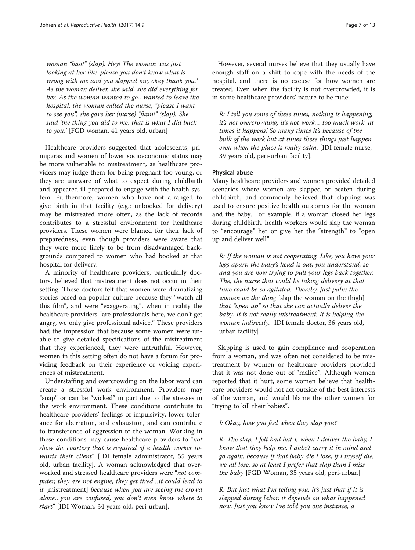woman "baa!" (slap). Hey! The woman was just looking at her like 'please you don't know what is wrong with me and you slapped me, okay thank you.' As the woman deliver, she said, she did everything for her. As the woman wanted to go…wanted to leave the hospital, the woman called the nurse, "please I want to see you", she gave her (nurse) "fiam!" (slap). She said 'the thing you did to me, that is what I did back to you.' [FGD woman, 41 years old, urban]

Healthcare providers suggested that adolescents, primiparas and women of lower socioeconomic status may be more vulnerable to mistreatment, as healthcare providers may judge them for being pregnant too young, or they are unaware of what to expect during childbirth and appeared ill-prepared to engage with the health system. Furthermore, women who have not arranged to give birth in that facility (e.g.: unbooked for delivery) may be mistreated more often, as the lack of records contributes to a stressful environment for healthcare providers. These women were blamed for their lack of preparedness, even though providers were aware that they were more likely to be from disadvantaged backgrounds compared to women who had booked at that hospital for delivery.

A minority of healthcare providers, particularly doctors, believed that mistreatment does not occur in their setting. These doctors felt that women were dramatizing stories based on popular culture because they "watch all this film", and were "exaggerating", when in reality the healthcare providers "are professionals here, we don't get angry, we only give professional advice." These providers had the impression that because some women were unable to give detailed specifications of the mistreatment that they experienced, they were untruthful. However, women in this setting often do not have a forum for providing feedback on their experience or voicing experiences of mistreatment.

Understaffing and overcrowding on the labor ward can create a stressful work environment. Providers may "snap" or can be "wicked" in part due to the stresses in the work environment. These conditions contribute to healthcare providers' feelings of impulsivity, lower tolerance for aberration, and exhaustion, and can contribute to transference of aggression to the woman. Working in these conditions may cause healthcare providers to "not show the courtesy that is required of a health worker towards their client" [IDI female administrator, 55 years old, urban facility]. A woman acknowledged that overworked and stressed healthcare providers were "not computer, they are not engine, they get tired…it could lead to it [mistreatment] because when you are seeing the crowd alone…you are confused, you don't even know where to start" [IDI Woman, 34 years old, peri-urban].

However, several nurses believe that they usually have enough staff on a shift to cope with the needs of the hospital, and there is no excuse for how women are treated. Even when the facility is not overcrowded, it is in some healthcare providers' nature to be rude:

R: I tell you some of these times, nothing is happening, it's not overcrowding, it's not work… too much work, at times it happens! So many times it's because of the bulk of the work but at times these things just happen even when the place is really calm. [IDI female nurse, 39 years old, peri-urban facility].

# Physical abuse

Many healthcare providers and women provided detailed scenarios where women are slapped or beaten during childbirth, and commonly believed that slapping was used to ensure positive health outcomes for the woman and the baby. For example, if a woman closed her legs during childbirth, health workers would slap the woman to "encourage" her or give her the "strength" to "open up and deliver well".

R: If the woman is not cooperating. Like, you have your legs apart, the baby's head is out, you understand, so and you are now trying to pull your legs back together. The, the nurse that could be taking delivery at that time could be so agitated. Thereby, just palm the woman on the thing [slap the woman on the thigh] that "open up" so that she can actually deliver the baby. It is not really mistreatment. It is helping the woman indirectly. [IDI female doctor, 36 years old, urban facility]

Slapping is used to gain compliance and cooperation from a woman, and was often not considered to be mistreatment by women or healthcare providers provided that it was not done out of "malice". Although women reported that it hurt, some women believe that healthcare providers would not act outside of the best interests of the woman, and would blame the other women for "trying to kill their babies".

## I: Okay, how you feel when they slap you?

R: The slap, I felt bad but I, when I deliver the baby, I know that they help me, I didn't carry it in mind and go again, because if that baby die I lose, if I myself die, we all lose, so at least I prefer that slap than I miss the baby [FGD Woman, 35 years old, peri-urban]

R: But just what I'm telling you, it's just that if it is slapped during labor, it depends on what happened now. Just you know I've told you one instance, a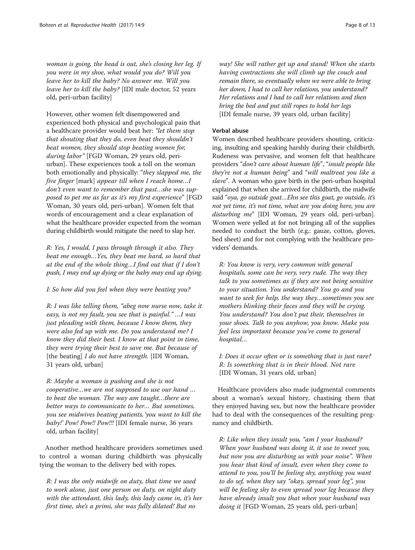woman is going, the head is out, she's closing her leg. If you were in my shoe, what would you do? Will you leave her to kill the baby? No answer me. Will you leave her to kill the baby? [IDI male doctor, 52 years old, peri-urban facility]

However, other women felt disempowered and experienced both physical and psychological pain that a healthcare provider would beat her: "let them stop that shouting that they do, even beat they shouldn't beat women, they should stop beating women for, during labor" [FGD Woman, 29 years old, periurban]. These experiences took a toll on the woman both emotionally and physically: "they slapped me, the five finger [mark] appear till when I reach home…I don't even want to remember that past…she was supposed to pet me as far as it's my first experience" [FGD Woman, 30 years old, peri-urban]. Women felt that words of encouragement and a clear explanation of what the healthcare provider expected from the woman during childbirth would mitigate the need to slap her.

R: Yes, I would, I pass through through it also. They beat me enough…Yes, they beat me hard, so hard that at the end of the whole thing…I find out that if I don't push, I may end up dying or the baby may end up dying.

I: So how did you feel when they were beating you?

R: I was like telling them, "abeg now nurse now, take it easy, is not my fault, you see that is painful." …I was just pleading with them, because I know them, they were also fed up with me. Do you understand me? I know they did their best. I know at that point in time, they were trying their best to save me. But because of [the beating]  $I$  do not have strength. [IDI Woman, 31 years old, urban]

R: Maybe a woman is pushing and she is not cooperative…we are not supposed to use our hand … to beat the woman. The way am taught…there are better ways to communicate to her… But sometimes, you see midwives beating patients, 'you want to kill the baby!' Pow! Pow!! Pow!!! [IDI female nurse, 36 years old, urban facility]

Another method healthcare providers sometimes used to control a woman during childbirth was physically tying the woman to the delivery bed with ropes.

R: I was the only midwife on duty, that time we used to work alone, just one person on duty, on night duty with the attendant, this lady, this lady came in, it's her first time, she's a primi, she was fully dilated! But no

way! She will rather get up and stand! When she starts having contractions she will climb up the couch and remain there, so eventually when we were able to bring her down, I had to call her relations, you understand? Her relations and I had to call her relations and then bring the bed and put still ropes to hold her legs [IDI female nurse, 39 years old, urban facility]

# Verbal abuse

Women described healthcare providers shouting, criticizing, insulting and speaking harshly during their childbirth. Rudeness was pervasive, and women felt that healthcare providers "don't care about human life", "insult people like they're not a human being" and "will maltreat you like a slave". A woman who gave birth in the peri-urban hospital explained that when she arrived for childbirth, the midwife said "oya, go outside goat…Ehn see this goat, go outside, it's not yet time, it's not time, what are you doing here, you are disturbing me" [IDI Woman, 29 years old, peri-urban]. Women were yelled at for not bringing all of the supplies needed to conduct the birth (e.g.: gauze, cotton, gloves, bed sheet) and for not complying with the healthcare providers' demands.

R: You know is very, very common with general hospitals, some can be very, very rude. The way they talk to you sometimes as if they are not being sensitive to your situation. You understand? You go and you want to seek for help, the way they…sometimes you see mothers blinking their faces and they will be crying. You understand? You don't put their, themselves in your shoes. Talk to you anyhow, you know. Make you feel less important because you've come to general hospital…

I: Does it occur often or is something that is just rare? R: Is something that is in their blood. Not rare [IDI Woman, 31 years old, urban]

Healthcare providers also made judgmental comments about a woman's sexual history, chastising them that they enjoyed having sex, but now the healthcare provider had to deal with the consequences of the resulting pregnancy and childbirth.

R: Like when they insult you, "am I your husband? When your husband was doing it, it use to sweet you, but now you are disturbing us with your noise". When you hear that kind of insult, even when they come to attend to you, you'll be feeling shy, anything you want to do sef, when they say "okay, spread your leg", you will be feeling shy to even spread your leg because they have already insult you that when your husband was doing it [FGD Woman, 25 years old, peri-urban]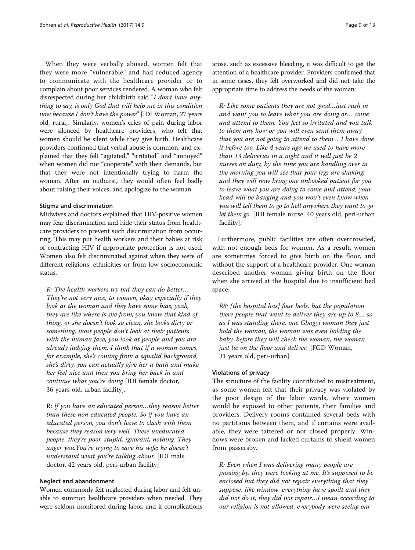When they were verbally abused, women felt that they were more "vulnerable" and had reduced agency to communicate with the healthcare provider or to complain about poor services rendered. A woman who felt disrespected during her childbirth said "I don't have anything to say, is only God that will help me in this condition now because I don't have the power" [IDI Woman, 27 years old, rural]. Similarly, women's cries of pain during labor were silenced by healthcare providers, who felt that women should be silent while they give birth. Healthcare providers confirmed that verbal abuse is common, and explained that they felt "agitated," "irritated" and "annoyed" when women did not "cooperate" with their demands, but that they were not intentionally trying to harm the woman. After an outburst, they would often feel badly about raising their voices, and apologize to the woman.

## Stigma and discrimination

Midwives and doctors explained that HIV-positive women may fear discrimination and hide their status from healthcare providers to prevent such discrimination from occurring. This may put health workers and their babies at risk of contracting HIV if appropriate protection is not used. Women also felt discriminated against when they were of different religions, ethnicities or from low socioeconomic status.

R: The health workers try but they can do better… They're not very nice, to women, okay especially if they look at the woman and they have some bias, yeah, they are like where is she from, you know that kind of thing, or she doesn't look so clean, she looks dirty or something, most people don't look at their patients with the human face, you look at people and you are already judging them, I think that if a woman comes, for example, she's coming from a squalid background, she's dirty, you can actually give her a bath and make her feel nice and then you bring her back in and continue what you're doing [IDI female doctor, 36 years old, urban facility].

R: If you have an educated person…they reason better than these non-educated people. So if you have an educated person, you don't have to clash with them because they reason very well. These uneducated people, they're poor, stupid, ignorant, nothing. They anger you.You're trying to save his wife; he doesn't understand what you're talking about. [IDI male doctor, 42 years old, peri-urban facility]

# Neglect and abandonment

Women commonly felt neglected during labor and felt unable to summon healthcare providers when needed. They were seldom monitored during labor, and if complications arose, such as excessive bleeding, it was difficult to get the attention of a healthcare provider. Providers confirmed that in some cases, they felt overworked and did not take the appropriate time to address the needs of the woman:

R: Like some patients they are not good…just rush in and want you to leave what you are doing or… come and attend to them. You feel so irritated and you talk to them any how or you will even send them away that you are not going to attend to them… I have done it before too. Like 4 years ago we used to have more than 13 deliveries in a night and it will just be 2 nurses on duty, by the time you are handling over in the morning you will see that your legs are shaking, and they will now bring one unbooked patient for you to leave what you are doing to come and attend, your head will be banging and you won't even know when you will tell them to go to hell anywhere they want to go let them go. [IDI female nurse, 40 years old, peri-urban facility].

Furthermore, public facilities are often overcrowded, with not enough beds for women. As a result, women are sometimes forced to give birth on the floor, and without the support of a healthcare provider. One woman described another woman giving birth on the floor when she arrived at the hospital due to insufficient bed space:

R8: [the hospital has] four beds, but the population there people that want to deliver they are up to 8.... so as I was standing there, one Gbagyi woman they just hold the woman, the woman was even holding the baby, before they will check the woman, the woman just lie on the floor and deliver. [FGD Woman, 31 years old, peri-urban].

# Violations of privacy

The structure of the facility contributed to mistreatment, as some women felt that their privacy was violated by the poor design of the labor wards, where women would be exposed to other patients, their families and providers. Delivery rooms contained several beds with no partitions between them, and if curtains were available, they were tattered or not closed properly. Windows were broken and lacked curtains to shield women from passersby.

R: Even when I was delivering many people are passing by, they were looking at me. It's supposed to be enclosed but they did not repair everything that they suppose, like window, everything have spoilt and they did not do it, they did not repair…I mean according to our religion is not allowed, everybody were seeing our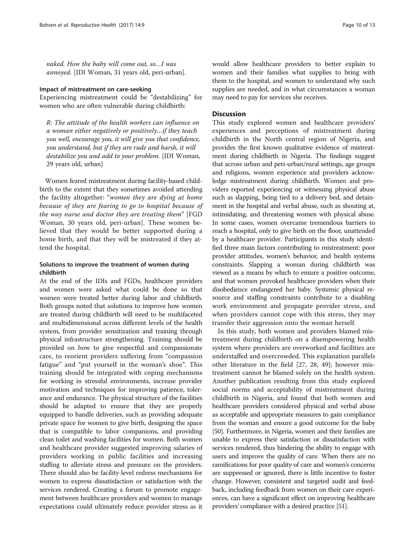naked. How the baby will come out, so…I was annoyed. [IDI Woman, 31 years old, peri-urban].

## Impact of mistreatment on care-seeking

Experiencing mistreatment could be "destabilizing" for women who are often vulnerable during childbirth:

R: The attitude of the health workers can influence on a woman either negatively or positively…if they teach you well, encourage you, it will give you that confidence, you understand, but if they are rude and harsh, it will destabilize you and add to your problem. [IDI Woman, 29 years old, urban]

Women feared mistreatment during facility-based childbirth to the extent that they sometimes avoided attending the facility altogether: "women they are dying at home because of they are fearing to go to hospital because of the way nurse and doctor they are treating them" [FGD Woman, 30 years old, peri-urban]. These women believed that they would be better supported during a home birth, and that they will be mistreated if they attend the hospital.

# Solutions to improve the treatment of women during childbirth

At the end of the IDIs and FGDs, healthcare providers and women were asked what could be done so that women were treated better during labor and childbirth. Both groups noted that solutions to improve how women are treated during childbirth will need to be multifaceted and multidimensional across different levels of the health system, from provider sensitization and training through physical infrastructure strengthening. Training should be provided on how to give respectful and compassionate care, to reorient providers suffering from "compassion fatigue" and "put yourself in the woman's shoe". This training should be integrated with coping mechanisms for working in stressful environments, increase provider motivation and techniques for improving patience, tolerance and endurance. The physical structure of the facilities should be adapted to ensure that they are properly equipped to handle deliveries, such as providing adequate private space for women to give birth, designing the space that is compatible to labor companions, and providing clean toilet and washing facilities for women. Both women and healthcare provider suggested improving salaries of providers working in public facilities and increasing staffing to alleviate stress and pressure on the providers. There should also be facility-level redress mechanisms for women to express dissatisfaction or satisfaction with the services rendered. Creating a forum to promote engagement between healthcare providers and women to manage expectations could ultimately reduce provider stress as it would allow healthcare providers to better explain to women and their families what supplies to bring with them to the hospital, and women to understand why such supplies are needed, and in what circumstances a woman may need to pay for services she receives.

# **Discussion**

This study explored women and healthcare providers' experiences and perceptions of mistreatment during childbirth in the North central region of Nigeria, and provides the first known qualitative evidence of mistreatment during childbirth in Nigeria. The findings suggest that across urban and peri-urban/rural settings, age groups and religions, women experience and providers acknowledge mistreatment during childbirth. Women and providers reported experiencing or witnessing physical abuse such as slapping, being tied to a delivery bed, and detainment in the hospital and verbal abuse, such as shouting at, intimidating, and threatening women with physical abuse. In some cases, women overcame tremendous barriers to reach a hospital, only to give birth on the floor, unattended by a healthcare provider. Participants in this study identified three main factors contributing to mistreatment: poor provider attitudes, women's behavior, and health systems constraints. Slapping a woman during childbirth was viewed as a means by which to ensure a positive outcome, and that women provoked healthcare providers when their disobedience endangered her baby. Systemic physical resource and staffing constraints contribute to a disabling work environment and propagate provider stress, and when providers cannot cope with this stress, they may transfer their aggression onto the woman herself.

In this study, both women and providers blamed mistreatment during childbirth on a disempowering health system where providers are overworked and facilities are understaffed and overcrowded. This explanation parallels other literature in the field [\[27](#page-11-0), [28,](#page-11-0) [49](#page-12-0)]; however mistreatment cannot be blamed solely on the health system. Another publication resulting from this study explored social norms and acceptability of mistreatment during childbirth in Nigeria, and found that both women and healthcare providers considered physical and verbal abuse as acceptable and appropriate measures to gain compliance from the woman and ensure a good outcome for the baby [[50](#page-12-0)]. Furthermore, in Nigeria, women and their families are unable to express their satisfaction or dissatisfaction with services rendered, thus hindering the ability to engage with users and improve the quality of care. When there are no ramifications for poor quality of care and women's concerns are suppressed or ignored, there is little incentive to foster change. However, consistent and targeted audit and feedback, including feedback from women on their care experiences, can have a significant effect on improving healthcare providers' compliance with a desired practice [[51](#page-12-0)].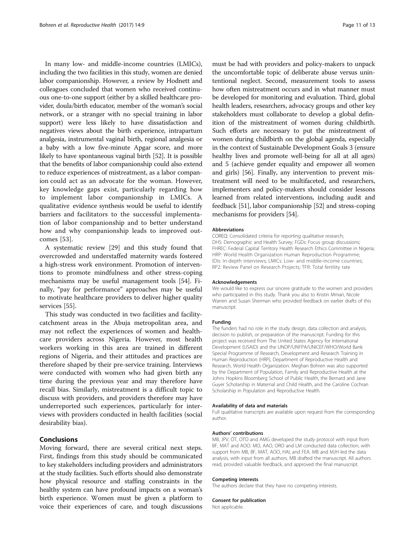In many low- and middle-income countries (LMICs), including the two facilities in this study, women are denied labor companionship. However, a review by Hodnett and colleagues concluded that women who received continuous one-to-one support (either by a skilled healthcare provider, doula/birth educator, member of the woman's social network, or a stranger with no special training in labor support) were less likely to have dissatisfaction and negatives views about the birth experience, intrapartum analgesia, instrumental vaginal birth, regional analgesia or a baby with a low five-minute Apgar score, and more likely to have spontaneous vaginal birth [\[52](#page-12-0)]. It is possible that the benefits of labor companionship could also extend to reduce experiences of mistreatment, as a labor companion could act as an advocate for the woman. However, key knowledge gaps exist, particularly regarding how to implement labor companionship in LMICs. A qualitative evidence synthesis would be useful to identify barriers and facilitators to the successful implementation of labor companionship and to better understand how and why companionship leads to improved outcomes [\[53](#page-12-0)].

A systematic review [\[29](#page-11-0)] and this study found that overcrowded and understaffed maternity wards fostered a high-stress work environment. Promotion of interventions to promote mindfulness and other stress-coping mechanisms may be useful management tools [[54\]](#page-12-0). Finally, "pay for performance" approaches may be useful to motivate healthcare providers to deliver higher quality services [[55](#page-12-0)].

This study was conducted in two facilities and facilitycatchment areas in the Abuja metropolitan area, and may not reflect the experiences of women and healthcare providers across Nigeria. However, most health workers working in this area are trained in different regions of Nigeria, and their attitudes and practices are therefore shaped by their pre-service training. Interviews were conducted with women who had given birth any time during the previous year and may therefore have recall bias. Similarly, mistreatment is a difficult topic to discuss with providers, and providers therefore may have underreported such experiences, particularly for interviews with providers conducted in health facilities (social desirability bias).

# Conclusions

Moving forward, there are several critical next steps. First, findings from this study should be communicated to key stakeholders including providers and administrators at the study facilities. Such efforts should also demonstrate how physical resource and staffing constraints in the healthy system can have profound impacts on a woman's birth experience. Women must be given a platform to voice their experiences of care, and tough discussions must be had with providers and policy-makers to unpack the uncomfortable topic of deliberate abuse versus unintentional neglect. Second, measurement tools to assess how often mistreatment occurs and in what manner must be developed for monitoring and evaluation. Third, global health leaders, researchers, advocacy groups and other key stakeholders must collaborate to develop a global definition of the mistreatment of women during childbirth. Such efforts are necessary to put the mistreatment of women during childbirth on the global agenda, especially in the context of Sustainable Development Goals 3 (ensure healthy lives and promote well-being for all at all ages) and 5 (achieve gender equality and empower all women and girls) [[56\]](#page-12-0). Finally, any intervention to prevent mistreatment will need to be multifaceted, and researchers, implementers and policy-makers should consider lessons learned from related interventions, including audit and feedback [\[51\]](#page-12-0), labor companionship [\[52\]](#page-12-0) and stress-coping mechanisms for providers [[54](#page-12-0)].

## Abbreviations

COREQ: Consolidated criteria for reporting qualitative research; DHS: Demographic and Health Survey; FGDs: Focus group discussions; FHREC: Federal Capital Territory Health Research Ethics Committee in Nigeria; HRP: World Health Organization Human Reproduction Programme; IDIs: In-depth interviews; LMICs: Low- and middle-income countries; RP2: Review Panel on Research Projects; TFR: Total fertility rate

## Acknowledgements

We would like to express our sincere gratitude to the women and providers who participated in this study. Thank you also to Kristin Mmari, Nicole Warren and Susan Sherman who provided feedback on earlier drafts of this manuscript.

## Funding

The funders had no role in the study design, data collection and analysis, decision to publish, or preparation of the manuscript. Funding for this project was received from The United States Agency for International Development (USAID) and the UNDP/UNFPA/UNICEF/WHO/World Bank Special Programme of Research, Development and Research Training in Human Reproduction (HRP), Department of Reproductive Health and Research, World Health Organization. Meghan Bohren was also supported by the Department of Population, Family and Reproductive Health at the Johns Hopkins Bloomberg School of Public Health, the Bernard and Jane Guyer Scholarship in Maternal and Child Health, and the Caroline Cochran Scholarship in Population and Reproductive Health.

#### Availability of data and materials

Full qualitative transcripts are available upon request from the corresponding author.

#### Authors' contributions

MB, JPV, ÖT, OTO and AMG developed the study protocol with input from BF, MAT and AOO. MO, AAO, ORO and LM conducted data collection, with support from MB, BF, MAT, AOO, HAI, and FEA. MB and MJH led the data analysis, with input from all authors. MB drafted the manuscript. All authors read, provided valuable feedback, and approved the final manuscript.

#### Competing interests

The authors declare that they have no competing interests.

#### Consent for publication

Not applicable.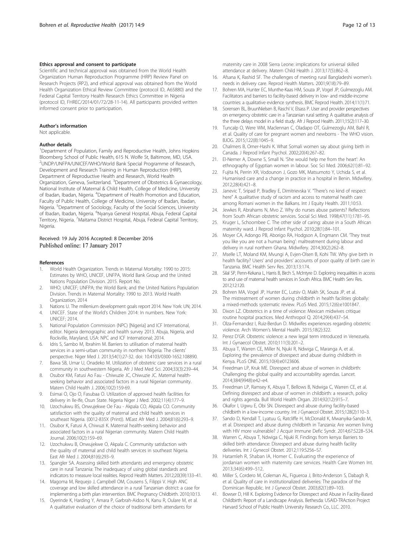## <span id="page-11-0"></span>Ethics approval and consent to participate

Scientific and technical approval was obtained from the World Health Organization Human Reproduction Programme (HRP) Review Panel on Research Projects (RP2), and ethical approval was obtained from the World Health Organization Ethical Review Committee (protocol ID, A65880) and the Federal Capital Territory Health Research Ethics Committee in Nigeria (protocol ID, FHREC/2014/01/72/28-11-14). All participants provided written informed consent prior to participation.

## Author's information

Not applicable.

## Author details

<sup>1</sup>Department of Population, Family and Reproductive Health, Johns Hopkins Bloomberg School of Public Health, 615 N. Wolfe St, Baltimore, MD, USA. 2 UNDP/UNFPA/UNICEF/WHO/World Bank Special Programme of Research, Development and Research Training in Human Reproduction (HRP), Department of Reproductive Health and Research, World Health Organization, Geneva, Switzerland. <sup>3</sup>Department of Obstetrics & Gynaecology, National Institute of Maternal & Child Health, College of Medicine, University of Ibadan, Ibadan, Nigeria. <sup>4</sup>Department of Health Promotion and Education, Faculty of Public Health, College of Medicine, University of Ibadan, Ibadan, Nigeria. <sup>5</sup>Department of Sociology, Faculty of the Social Sciences, University of Ibadan, Ibadan, Nigeria. <sup>6</sup>Nyanya General Hospital, Abuja, Federal Capital Territory, Nigeria. <sup>7</sup>Maitama District Hospital, Abuja, Federal Capital Territory, **Nigeria** 

# Received: 19 July 2016 Accepted: 8 December 2016 Published online: 17 January 2017

#### References

- 1. World Health Organization. Trends in Maternal Mortality: 1990 to 2015: Estimates by WHO, UNICEF, UNFPA, World Bank Group and the United Nations Population Division. 2015. Report No.
- 2. WHO; UNICEF; UNFPA; the World Bank; and the United Nations Population Division. Trends in Maternal Mortality: 1990 to 2013. World Health Organization, 2014
- 3. Nations U. The millenium development goals report 2014. New York: UN; 2014.
- 4. UNICEF. State of the World's Children 2014: In numbers. New York: UNICEF; 2014.
- 5. National Population Commission (NPC) [Nigeria] and ICF International, editor. Nigeria demographic and health survey 2013. Abuja, Nigeria, and Rockville, Maryland, USA: NPC and ICF International; 2014.
- 6. Idris S, Sambo M, Ibrahim M. Barriers to utilisation of maternal health services in a semi-urban community in northern Nigeria: The clients' perspective. Niger Med J. 2013;54(1):27-32. doi: [10.4103/0300-1652.108890](http://dx.doi.org/10.4103/0300-1652.108890).
- Bawa SB, Umar U, Onadeko M. Utilization of obstetric care services in a rural community in southwestern Nigeria. Afr J Med Med Sci. 2004;33(3):239–44.
- 8. Osubor KM, Fatusi Ao Fau Chiwuzie JC, Chiwuzie JC. Maternal healthseeking behavior and associated factors in a rural Nigerian community. Matern Child Health J. 2006;10(2):159-69.
- 9. Esimai O, Ojo O, Fasubaa O. Utilization of approved health facilities for delivery in Ile-Ife, Osun State. Nigeria Niger J Med. 2002;11(4):177–9.
- 10. Uzochukwu BS, Onwujekwe Oe Fau Akpala CO, Akpala CO. Community satisfaction with the quality of maternal and child health services in southeast Nigeria. (0012-835X (Print)). MEast Afr Med J. 2004;81(6):293–9.
- 11. Osubor K, Fatusi A, Chiwuzi K. Maternal health-seeking behavior and associated factors in a rural Nigerian community. Matern Child Health Journal. 2006;10(2):159–69.
- 12. Uzochukwu B, Onwujekwe O, Akpala C. Community satisfaction with the quality of maternal and child health services in southeast Nigeria. East Afr Med J. 2004;81(6):293–9.
- 13. Spangler SA. Assessing skilled birth attendants and emergency obstetric care in rural Tanzania: The inadequacy of using global standards and indicators to measure local realities. Reprod Health Matters. 2012;20(39):133–41.
- 14. Magoma M, Requejo J, Campbell OM, Cousens S, Filippi V. High ANC coverage and low skilled attendance in a rural Tanzanian district: a case for implementing a birth plan intervention. BMC Pregnancy Childbirth. 2010;10:13.
- 15. Oyerinde K, Harding Y, Amara P, Garbrah-Aidoo N, Kanu R, Oulare M, et al. A qualitative evaluation of the choice of traditional birth attendants for

maternity care in 2008 Sierra Leone: implications for universal skilled attendance at delivery. Matern Child Health J. 2013;17(5):862–8.

- 16. Afsana K, Rashid SF. The challenges of meeting rural Bangladeshi women's needs in delivery care. Reprod Health Matters. 2001;9(18):79–89.
- 17. Bohren MA, Hunter EC, Munthe-Kaas HM, Souza JP, Vogel JP, Gulmezoglu AM. Facilitators and barriers to facility-based delivery in low- and middle-income countries: a qualitative evidence synthesis. BMC Reprod Health. 2014;11(1):71.
- 18. Sorensen BL, BruunNielsen B, Raschl V, Elsass P. User and provider perspectives on emergency obstetric care in a Tanzanian rural setting: A qualitative analysis of the three delays model in a field study. Afr J Reprod Health. 2011;15(2):117–30.
- 19. Tuncalp O, Were WM, Maclennan C, Oladapo OT, Gulmezoglu AM, Bahl R, et al. Quality of care for pregnant women and newborns - The WHO vision. BJOG. 2015;122(8):1045–9.
- 20. Chalmers B, Omer-Hashi K. What Somali women say about giving birth in Canada. J Reprod Infant Psychol. 2002;20(4):267–82.
- 21. El-Nemer A, Downe S, Small N. 'She would help me from the heart': An ethnography of Egyptian women in labour. Soc Sci Med. 2006;62(1):81–92.
- 22. Fujita N, Perrin XR, Vodounon J, Gozo MK, Matsumoto Y, Uchida S, et al. Humanised care and a change in practice in a hospital in Benin. Midwifery. 2012;28(4):421–8.
- 23. Janevic T, Sripad P, Bradley E, Dimitrievska V. "There's no kind of respect here" A qualitative study of racism and access to maternal health care among Romani women in the Balkans. Int J Equity Health. 2011;10:53.
- 24. Jewkes R, Abrahams N, Mvo Z. Why do nurses abuse patients? Reflections from South African obstetric services. Social Sci Med. 1998;47(11):1781–95.
- 25. Kruger L, Schoombee C. The other side of caring: abuse in a South African maternity ward. J Reprod Infant Psychol. 2010;28(1):84–101.
- 26. Moyer CA, Adongo PB, Aborigo RA, Hodgson A, Engmann CM. They treat you like you are not a human being': maltreatment during labour and delivery in rural northern Ghana. Midwifery. 2014;30(2):262–8.
- 27. Mselle LT, Moland KM, Mvungi A, Evjen-Olsen B, Kohi TW. Why give birth in health facility? Users' and providers' accounts of poor quality of birth care in Tanzania. BMC Health Serv Res. 2013;13:174.
- 28. Silal SP, Penn-Kekana L, Harris B, Birch S, McIntyre D. Exploring inequalities in access to and use of maternal health services in South Africa. BMC Health Serv Res. 2012;12:120.
- 29. Bohren MA, Vogel JP, Hunter EC, Lutsiv O, Makh SK, Souza JP, et al. The mistreatment of women during childbirth in health facilities globally: a mixed-methods systematic review. PLoS Med. 2015;12(6):e1001847.
- 30. Dixon LZ. Obstetrics in a time of violence: Mexican midwives critique routine hospital practices. Med Anthropol Q. 2014;29(4):437–54.
- 31. Olza-Fernandez I, Ruiz-Berdun D. Midwifes experiences regarding obstetric violence. Arch Women's Mental Health. 2015;18(2):322.
- 32. Perez D'GR. Obstetric violence: a new legal term introduced in Venezuela. Int J Gynaecol Obstet. 2010;111(3):201–2.
- 33. Abuya T, Warren CE, Miller N, Njuki R, Ndwiga C, Maranga A, et al. Exploring the prevalence of disrespect and abuse during childbirth in Kenya. PLoS ONE. 2015;10(4):e0123606.
- 34. Freedman LP, Kruk ME. Disrespect and abuse of women in childbirth: Challenging the global quality and accountability agendas. Lancet. 2014;384(9948):e42–e4.
- 35. Freedman LP, Ramsey K, Abuya T, Bellows B, Ndwiga C, Warren CE, et al. Defining disrespect and abuse of women in childbirth: a research, policy and rights agenda. Bull World Health Organ. 2014;92(12):915–7.
- 36. Okafor I, Ugwu E, Obi SN. Disrespect and abuse during facility-based childbirth in a low-income country. Int J Gynaecol Obstet. 2015;128(2):110–3.
- 37. Sando D, Kendall T, Lyatuu G, Ratcliffe H, McDonald K, Mwanyika-Sando M, et al. Disrespect and abuse during childbirth in Tanzania: Are women living with HIV more vulnerable? J Acquir Immune Defic Syndr. 2014;67:S228–S34.
- 38. Warren C, Abuya T, Ndwiga C, Njuki R. Findings from kenya: Barriers to skilled birth attendance: Disrespect and abuse during health facility deliveries. Int J Gynecol Obstet. 2012;119:S256–S7.
- 39. Hatamleh R, Shaban IA, Homer C. Evaluating the experience of jordanian women with maternity care services. Health Care Women Int. 2013;34(6):499–512.
- 40. Miller S, Cordero M, Coleman AL, Figueroa J, Brito-Anderson S, Dabagh R, et al. Quality of care in institutionalized deliveries: The paradox of the Dominican Republic. Int J Gynecol Obstet. 2003;82(1):89–103.
- 41. Bowser D, Hill K. Exploring Evidence for Disrespect and Abuse in Facility-Based Childbirth: Report of a Landscape Analysis. Bethesda: USAID-TRAction Project Harvard School of Public Health University Research Co., LLC. 2010.